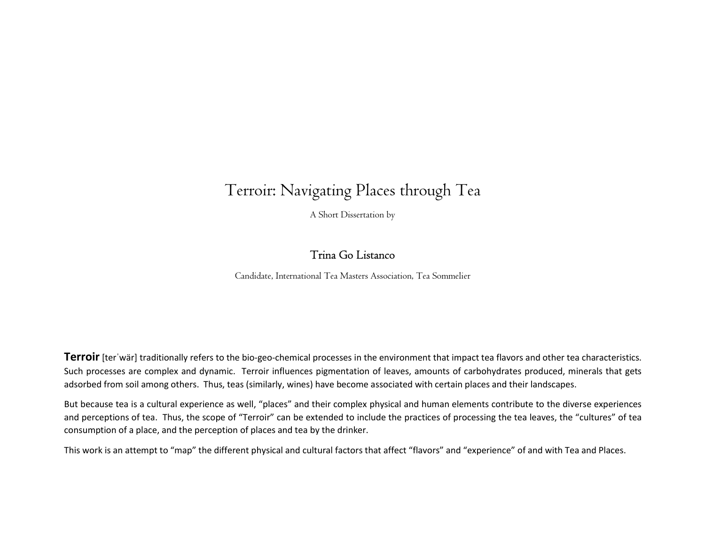# Terroir: Navigating Places through Tea

A Short Dissertation by

# Trina Go Listanco

Candidate, International Tea Masters Association, Tea Sommelier

**Terroir** [ter war] traditionally refers to the bio-geo-chemical processes in the environment that impact tea flavors and other tea characteristics. Such processes are complex and dynamic. Terroir influences pigmentation of leaves, amounts of carbohydrates produced, minerals that gets adsorbed from soil among others. Thus, teas (similarly, wines) have become associated with certain places and their landscapes.

But because tea is a cultural experience as well, "places" and their complex physical and human elements contribute to the diverse experiences and perceptions of tea. Thus, the scope of "Terroir" can be extended to include the practices of processing the tea leaves, the "cultures" of tea consumption of a place, and the perception of places and tea by the drinker.

This work is an attempt to "map" the different physical and cultural factors that affect "flavors" and "experience" of and with Tea and Places.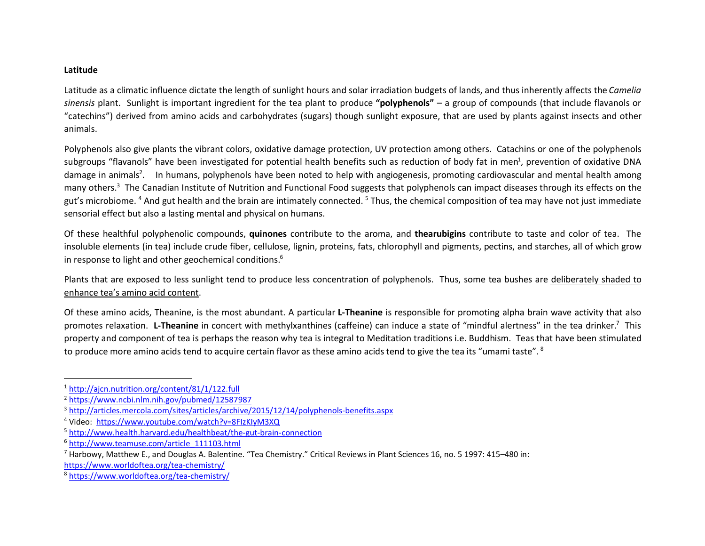#### Latitude

 $\overline{a}$ 

Latitude as a climatic influence dictate the length of sunlight hours and solar irradiation budgets of lands, and thus inherently affects the Camelia sinensis plant. Sunlight is important ingredient for the tea plant to produce "polyphenols" – a group of compounds (that include flavanols or "catechins") derived from amino acids and carbohydrates (sugars) though sunlight exposure, that are used by plants against insects and other animals.

Polyphenols also give plants the vibrant colors, oxidative damage protection, UV protection among others. Catachins or one of the polyphenols subgroups "flavanols" have been investigated for potential health benefits such as reduction of body fat in men<sup>1</sup>, prevention of oxidative DNA damage in animals<sup>2</sup>. In humans, polyphenols have been noted to help with angiogenesis, promoting cardiovascular and mental health among many others.<sup>3</sup> The Canadian Institute of Nutrition and Functional Food suggests that polyphenols can impact diseases through its effects on the gut's microbiome. <sup>4</sup> And gut health and the brain are intimately connected. <sup>5</sup> Thus, the chemical composition of tea may have not just immediate sensorial effect but also a lasting mental and physical on humans.

Of these healthful polyphenolic compounds, quinones contribute to the aroma, and thearubigins contribute to taste and color of tea. The insoluble elements (in tea) include crude fiber, cellulose, lignin, proteins, fats, chlorophyll and pigments, pectins, and starches, all of which grow in response to light and other geochemical conditions.<sup>6</sup>

Plants that are exposed to less sunlight tend to produce less concentration of polyphenols. Thus, some tea bushes are deliberately shaded to enhance tea's amino acid content.

Of these amino acids, Theanine, is the most abundant. A particular **L-Theanine** is responsible for promoting alpha brain wave activity that also promotes relaxation. L-Theanine in concert with methylxanthines (caffeine) can induce a state of "mindful alertness" in the tea drinker.<sup>7</sup> This property and component of tea is perhaps the reason why tea is integral to Meditation traditions i.e. Buddhism. Teas that have been stimulated to produce more amino acids tend to acquire certain flavor as these amino acids tend to give the tea its "umami taste". <sup>8</sup>

<sup>1</sup> http://ajcn.nutrition.org/content/81/1/122.full

<sup>2</sup> https://www.ncbi.nlm.nih.gov/pubmed/12587987

<sup>3</sup> http://articles.mercola.com/sites/articles/archive/2015/12/14/polyphenols-benefits.aspx

<sup>4</sup> Video: https://www.youtube.com/watch?v=8FIzKIyM3XQ

<sup>5</sup> http://www.health.harvard.edu/healthbeat/the-gut-brain-connection

<sup>6</sup> http://www.teamuse.com/article\_111103.html

<sup>&</sup>lt;sup>7</sup> Harbowy, Matthew E., and Douglas A. Balentine. "Tea Chemistry." Critical Reviews in Plant Sciences 16, no. 5 1997: 415–480 in:

https://www.worldoftea.org/tea-chemistry/

<sup>8</sup> https://www.worldoftea.org/tea-chemistry/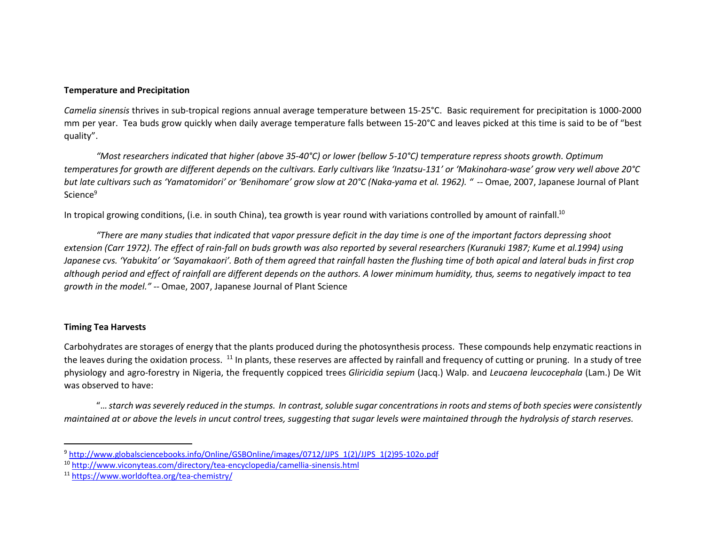#### Temperature and Precipitation

Camelia sinensis thrives in sub-tropical regions annual average temperature between 15-25°C. Basic requirement for precipitation is 1000-2000 mm per year. Tea buds grow quickly when daily average temperature falls between 15-20°C and leaves picked at this time is said to be of "best quality".

"Most researchers indicated that higher (above 35-40°C) or lower (bellow 5-10°C) temperature repress shoots growth. Optimum temperatures for growth are different depends on the cultivars. Early cultivars like 'Inzatsu-131' or 'Makinohara-wase' grow very well above 20°C but late cultivars such as 'Yamatomidori' or 'Benihomare' grow slow at 20°C (Naka-yama et al. 1962). " -- Omae, 2007, Japanese Journal of Plant Science<sup>9</sup>

In tropical growing conditions, (i.e. in south China), tea growth is year round with variations controlled by amount of rainfall.<sup>10</sup>

"There are many studies that indicated that vapor pressure deficit in the day time is one of the important factors depressing shoot extension (Carr 1972). The effect of rain-fall on buds growth was also reported by several researchers (Kuranuki 1987; Kume et al.1994) using Japanese cvs. 'Yabukita' or 'Sayamakaori'. Both of them agreed that rainfall hasten the flushing time of both apical and lateral buds in first crop although period and effect of rainfall are different depends on the authors. A lower minimum humidity, thus, seems to negatively impact to tea growth in the model." -- Omae, 2007, Japanese Journal of Plant Science

### Timing Tea Harvests

Carbohydrates are storages of energy that the plants produced during the photosynthesis process. These compounds help enzymatic reactions in the leaves during the oxidation process. <sup>11</sup> In plants, these reserves are affected by rainfall and frequency of cutting or pruning. In a study of tree physiology and agro-forestry in Nigeria, the frequently coppiced trees Gliricidia sepium (Jacq.) Walp. and Leucaena leucocephala (Lam.) De Wit was observed to have:

"… starch was severely reduced in the stumps. In contrast, soluble sugar concentrations in roots and stems of both species were consistently maintained at or above the levels in uncut control trees, suggesting that sugar levels were maintained through the hydrolysis of starch reserves.

<sup>9</sup> http://www.globalsciencebooks.info/Online/GSBOnline/images/0712/JJPS\_1(2)/JJPS\_1(2)95-102o.pdf

<sup>10</sup> http://www.viconyteas.com/directory/tea-encyclopedia/camellia-sinensis.html

<sup>11</sup> https://www.worldoftea.org/tea-chemistry/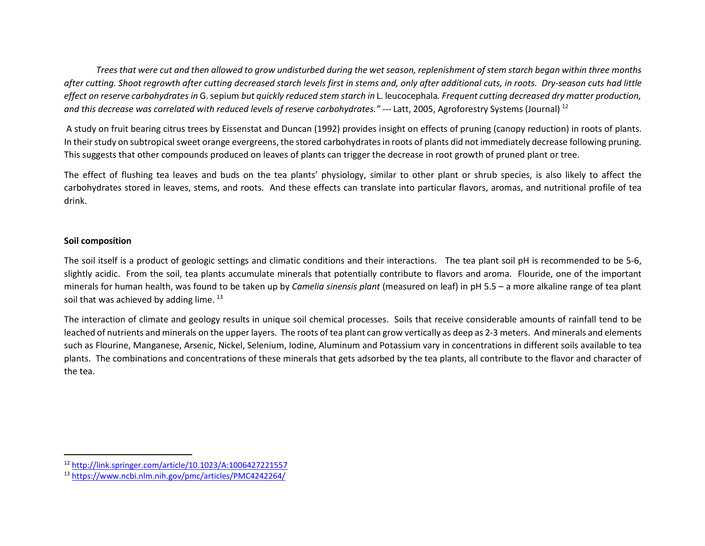Trees that were cut and then allowed to grow undisturbed during the wet season, replenishment of stem starch began within three months after cutting. Shoot regrowth after cutting decreased starch levels first in stems and, only after additional cuts, in roots. Dry-season cuts had little effect on reserve carbohydrates in G. sepium but quickly reduced stem starch in L. leucocephala. Frequent cutting decreased dry matter production, and this decrease was correlated with reduced levels of reserve carbohydrates." --- Latt, 2005, Agroforestry Systems (Journal) <sup>12</sup>

 A study on fruit bearing citrus trees by Eissenstat and Duncan (1992) provides insight on effects of pruning (canopy reduction) in roots of plants. In their study on subtropical sweet orange evergreens, the stored carbohydrates in roots of plants did not immediately decrease following pruning. This suggests that other compounds produced on leaves of plants can trigger the decrease in root growth of pruned plant or tree.

The effect of flushing tea leaves and buds on the tea plants' physiology, similar to other plant or shrub species, is also likely to affect the carbohydrates stored in leaves, stems, and roots. And these effects can translate into particular flavors, aromas, and nutritional profile of tea drink.

#### Soil composition

 $\overline{a}$ 

The soil itself is a product of geologic settings and climatic conditions and their interactions. The tea plant soil pH is recommended to be 5-6, slightly acidic. From the soil, tea plants accumulate minerals that potentially contribute to flavors and aroma. Flouride, one of the important minerals for human health, was found to be taken up by Camelia sinensis plant (measured on leaf) in pH 5.5 – a more alkaline range of tea plant soil that was achieved by adding lime.  $^{13}$ 

The interaction of climate and geology results in unique soil chemical processes. Soils that receive considerable amounts of rainfall tend to be leached of nutrients and minerals on the upper layers. The roots of tea plant can grow vertically as deep as 2-3 meters. And minerals and elements such as Flourine, Manganese, Arsenic, Nickel, Selenium, Iodine, Aluminum and Potassium vary in concentrations in different soils available to tea plants. The combinations and concentrations of these minerals that gets adsorbed by the tea plants, all contribute to the flavor and character of the tea.

<sup>12</sup> http://link.springer.com/article/10.1023/A:1006427221557

<sup>13</sup> https://www.ncbi.nlm.nih.gov/pmc/articles/PMC4242264/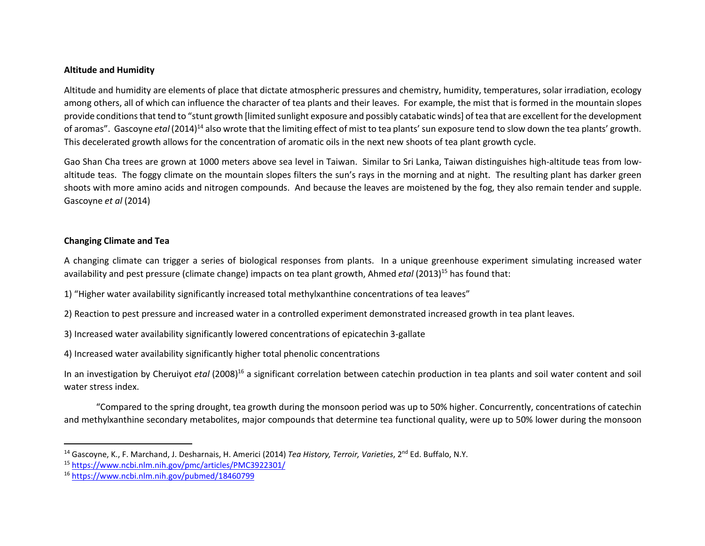#### Altitude and Humidity

Altitude and humidity are elements of place that dictate atmospheric pressures and chemistry, humidity, temperatures, solar irradiation, ecology among others, all of which can influence the character of tea plants and their leaves. For example, the mist that is formed in the mountain slopes provide conditions that tend to "stunt growth [limited sunlight exposure and possibly catabatic winds] of tea that are excellent for the development of aromas". Gascoyne etal (2014)<sup>14</sup> also wrote that the limiting effect of mist to tea plants' sun exposure tend to slow down the tea plants' growth. This decelerated growth allows for the concentration of aromatic oils in the next new shoots of tea plant growth cycle.

Gao Shan Cha trees are grown at 1000 meters above sea level in Taiwan. Similar to Sri Lanka, Taiwan distinguishes high-altitude teas from lowaltitude teas. The foggy climate on the mountain slopes filters the sun's rays in the morning and at night. The resulting plant has darker green shoots with more amino acids and nitrogen compounds. And because the leaves are moistened by the fog, they also remain tender and supple. Gascoyne et al (2014)

#### Changing Climate and Tea

A changing climate can trigger a series of biological responses from plants. In a unique greenhouse experiment simulating increased water availability and pest pressure (climate change) impacts on tea plant growth, Ahmed etal (2013)<sup>15</sup> has found that:

1) "Higher water availability significantly increased total methylxanthine concentrations of tea leaves"

2) Reaction to pest pressure and increased water in a controlled experiment demonstrated increased growth in tea plant leaves.

3) Increased water availability significantly lowered concentrations of epicatechin 3-gallate

4) Increased water availability significantly higher total phenolic concentrations

In an investigation by Cheruiyot etal (2008)<sup>16</sup> a significant correlation between catechin production in tea plants and soil water content and soil water stress index.

"Compared to the spring drought, tea growth during the monsoon period was up to 50% higher. Concurrently, concentrations of catechin and methylxanthine secondary metabolites, major compounds that determine tea functional quality, were up to 50% lower during the monsoon

<sup>&</sup>lt;sup>14</sup> Gascoyne, K., F. Marchand, J. Desharnais, H. Americi (2014) Tea History, Terroir, Varieties, 2<sup>nd</sup> Ed. Buffalo, N.Y.

<sup>15</sup> https://www.ncbi.nlm.nih.gov/pmc/articles/PMC3922301/

<sup>16</sup> https://www.ncbi.nlm.nih.gov/pubmed/18460799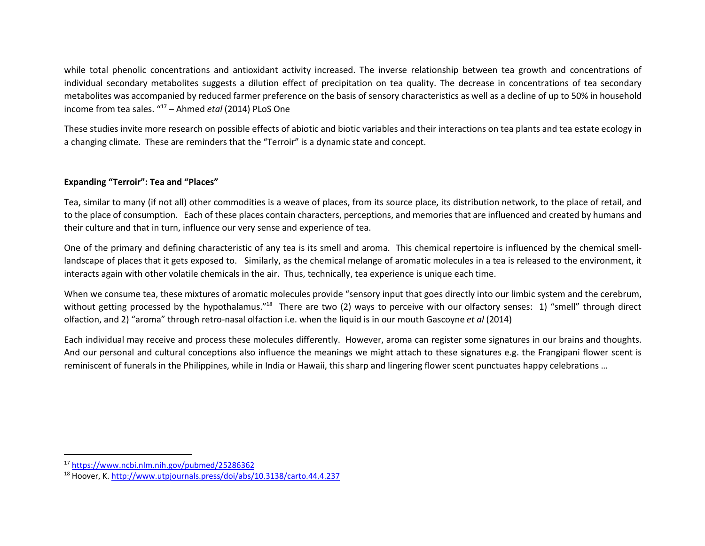while total phenolic concentrations and antioxidant activity increased. The inverse relationship between tea growth and concentrations of individual secondary metabolites suggests a dilution effect of precipitation on tea quality. The decrease in concentrations of tea secondary metabolites was accompanied by reduced farmer preference on the basis of sensory characteristics as well as a decline of up to 50% in household income from tea sales. "<sup>17</sup> – Ahmed etal (2014) PLoS One

These studies invite more research on possible effects of abiotic and biotic variables and their interactions on tea plants and tea estate ecology in a changing climate. These are reminders that the "Terroir" is a dynamic state and concept.

#### Expanding "Terroir": Tea and "Places"

Tea, similar to many (if not all) other commodities is a weave of places, from its source place, its distribution network, to the place of retail, and to the place of consumption. Each of these places contain characters, perceptions, and memories that are influenced and created by humans and their culture and that in turn, influence our very sense and experience of tea.

One of the primary and defining characteristic of any tea is its smell and aroma. This chemical repertoire is influenced by the chemical smelllandscape of places that it gets exposed to. Similarly, as the chemical melange of aromatic molecules in a tea is released to the environment, it interacts again with other volatile chemicals in the air. Thus, technically, tea experience is unique each time.

When we consume tea, these mixtures of aromatic molecules provide "sensory input that goes directly into our limbic system and the cerebrum, without getting processed by the hypothalamus."<sup>18</sup> There are two (2) ways to perceive with our olfactory senses: 1) "smell" through direct olfaction, and 2) "aroma" through retro-nasal olfaction i.e. when the liquid is in our mouth Gascoyne et al (2014)

Each individual may receive and process these molecules differently. However, aroma can register some signatures in our brains and thoughts. And our personal and cultural conceptions also influence the meanings we might attach to these signatures e.g. the Frangipani flower scent is reminiscent of funerals in the Philippines, while in India or Hawaii, this sharp and lingering flower scent punctuates happy celebrations …

 $\overline{a}$ 

<sup>17</sup> https://www.ncbi.nlm.nih.gov/pubmed/25286362

<sup>18</sup> Hoover, K. http://www.utpjournals.press/doi/abs/10.3138/carto.44.4.237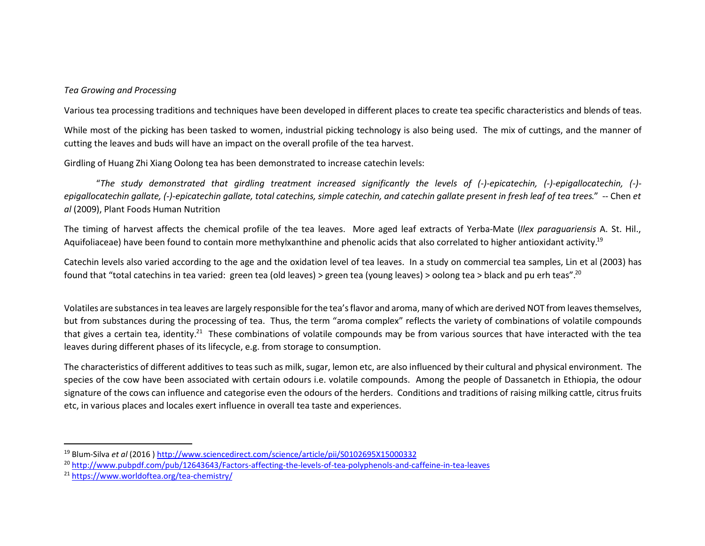#### Tea Growing and Processing

Various tea processing traditions and techniques have been developed in different places to create tea specific characteristics and blends of teas.

While most of the picking has been tasked to women, industrial picking technology is also being used. The mix of cuttings, and the manner of cutting the leaves and buds will have an impact on the overall profile of the tea harvest.

Girdling of Huang Zhi Xiang Oolong tea has been demonstrated to increase catechin levels:

"The study demonstrated that girdling treatment increased significantly the levels of (-)-epicatechin, (-)-epigallocatechin, (-) epigallocatechin gallate, (-)-epicatechin gallate, total catechins, simple catechin, and catechin gallate present in fresh leaf of tea trees." -- Chen et al (2009), Plant Foods Human Nutrition

The timing of harvest affects the chemical profile of the tea leaves. More aged leaf extracts of Yerba-Mate (Ilex paraguariensis A. St. Hil., Aquifoliaceae) have been found to contain more methylxanthine and phenolic acids that also correlated to higher antioxidant activity.<sup>19</sup>

Catechin levels also varied according to the age and the oxidation level of tea leaves. In a study on commercial tea samples, Lin et al (2003) has found that "total catechins in tea varied: green tea (old leaves) > green tea (young leaves) > oolong tea > black and pu erh teas".<sup>20</sup>

Volatiles are substances in tea leaves are largely responsible for the tea's flavor and aroma, many of which are derived NOT from leaves themselves, but from substances during the processing of tea. Thus, the term "aroma complex" reflects the variety of combinations of volatile compounds that gives a certain tea, identity.<sup>21</sup> These combinations of volatile compounds may be from various sources that have interacted with the tea leaves during different phases of its lifecycle, e.g. from storage to consumption.

The characteristics of different additives to teas such as milk, sugar, lemon etc, are also influenced by their cultural and physical environment. The species of the cow have been associated with certain odours i.e. volatile compounds. Among the people of Dassanetch in Ethiopia, the odour signature of the cows can influence and categorise even the odours of the herders. Conditions and traditions of raising milking cattle, citrus fruits etc, in various places and locales exert influence in overall tea taste and experiences.

<sup>19</sup> Blum-Silva et al (2016 ) http://www.sciencedirect.com/science/article/pii/S0102695X15000332

<sup>20</sup> http://www.pubpdf.com/pub/12643643/Factors-affecting-the-levels-of-tea-polyphenols-and-caffeine-in-tea-leaves

<sup>21</sup> https://www.worldoftea.org/tea-chemistry/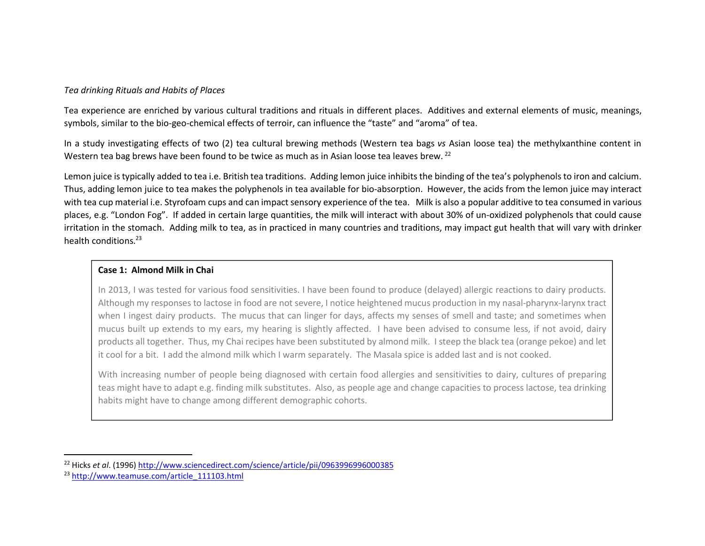#### Tea drinking Rituals and Habits of Places

Tea experience are enriched by various cultural traditions and rituals in different places. Additives and external elements of music, meanings, symbols, similar to the bio-geo-chemical effects of terroir, can influence the "taste" and "aroma" of tea.

In a study investigating effects of two (2) tea cultural brewing methods (Western tea bags vs Asian loose tea) the methylxanthine content in Western tea bag brews have been found to be twice as much as in Asian loose tea leaves brew.  $^{22}$ 

Lemon juice is typically added to tea i.e. British tea traditions. Adding lemon juice inhibits the binding of the tea's polyphenols to iron and calcium. Thus, adding lemon juice to tea makes the polyphenols in tea available for bio-absorption. However, the acids from the lemon juice may interact with tea cup material i.e. Styrofoam cups and can impact sensory experience of the tea. Milk is also a popular additive to tea consumed in various places, e.g. "London Fog". If added in certain large quantities, the milk will interact with about 30% of un-oxidized polyphenols that could cause irritation in the stomach. Adding milk to tea, as in practiced in many countries and traditions, may impact gut health that will vary with drinker health conditions.<sup>23</sup>

#### Case 1: Almond Milk in Chai

In 2013, I was tested for various food sensitivities. I have been found to produce (delayed) allergic reactions to dairy products. Although my responses to lactose in food are not severe, I notice heightened mucus production in my nasal-pharynx-larynx tract when I ingest dairy products. The mucus that can linger for days, affects my senses of smell and taste; and sometimes when mucus built up extends to my ears, my hearing is slightly affected. I have been advised to consume less, if not avoid, dairy products all together. Thus, my Chai recipes have been substituted by almond milk. I steep the black tea (orange pekoe) and let it cool for a bit. I add the almond milk which I warm separately. The Masala spice is added last and is not cooked.

With increasing number of people being diagnosed with certain food allergies and sensitivities to dairy, cultures of preparing teas might have to adapt e.g. finding milk substitutes. Also, as people age and change capacities to process lactose, tea drinking habits might have to change among different demographic cohorts.

 $\overline{a}$ 

<sup>&</sup>lt;sup>22</sup> Hicks et al. (1996) http://www.sciencedirect.com/science/article/pii/0963996996000385

<sup>23</sup> http://www.teamuse.com/article\_111103.html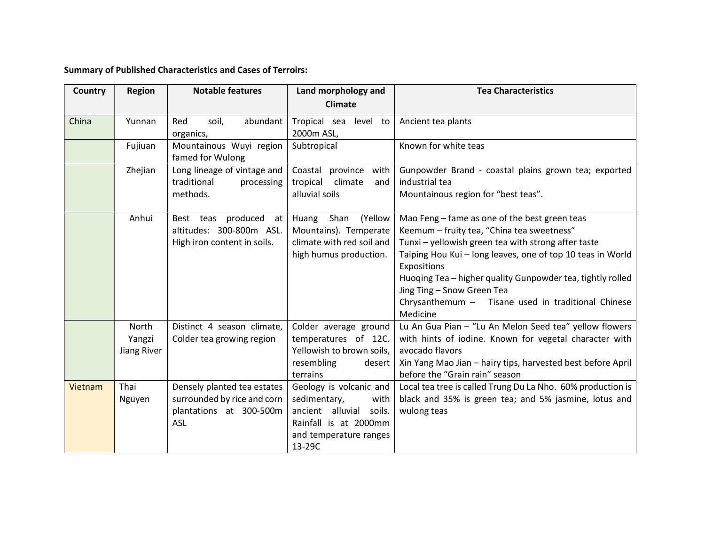## Summary of Published Characteristics and Cases of Terroirs:

| Country | Region                         | <b>Notable features</b>                                                                             | Land morphology and<br><b>Climate</b>                                                                                                      | <b>Tea Characteristics</b>                                                                                                                                                                                                                                                                                                                                                                    |
|---------|--------------------------------|-----------------------------------------------------------------------------------------------------|--------------------------------------------------------------------------------------------------------------------------------------------|-----------------------------------------------------------------------------------------------------------------------------------------------------------------------------------------------------------------------------------------------------------------------------------------------------------------------------------------------------------------------------------------------|
| China   | Yunnan                         | Red<br>abundant<br>soil,<br>organics,                                                               | Tropical sea level to<br>2000m ASL,                                                                                                        | Ancient tea plants                                                                                                                                                                                                                                                                                                                                                                            |
|         | Fujiuan                        | Mountainous Wuyi region<br>famed for Wulong                                                         | Subtropical                                                                                                                                | Known for white teas                                                                                                                                                                                                                                                                                                                                                                          |
|         | Zhejian                        | Long lineage of vintage and<br>traditional<br>processing<br>methods.                                | Coastal province with<br>climate<br>tropical<br>and<br>alluvial soils                                                                      | Gunpowder Brand - coastal plains grown tea; exported<br>industrial tea<br>Mountainous region for "best teas".                                                                                                                                                                                                                                                                                 |
|         | Anhui                          | Best teas produced at<br>altitudes: 300-800m ASL.<br>High iron content in soils.                    | Shan<br>(Yellow<br>Huang<br>Mountains). Temperate<br>climate with red soil and<br>high humus production.                                   | Mao Feng – fame as one of the best green teas<br>Keemum - fruity tea, "China tea sweetness"<br>Tunxi - yellowish green tea with strong after taste<br>Taiping Hou Kui - long leaves, one of top 10 teas in World<br>Expositions<br>Huoqing Tea - higher quality Gunpowder tea, tightly rolled<br>Jing Ting - Snow Green Tea<br>Chrysanthemum - Tisane used in traditional Chinese<br>Medicine |
|         | North<br>Yangzi<br>Jiang River | Distinct 4 season climate,<br>Colder tea growing region                                             | Colder average ground<br>temperatures of 12C.<br>Yellowish to brown soils,<br>resembling<br>desert<br>terrains                             | Lu An Gua Pian - "Lu An Melon Seed tea" yellow flowers<br>with hints of iodine. Known for vegetal character with<br>avocado flavors<br>Xin Yang Mao Jian - hairy tips, harvested best before April<br>before the "Grain rain" season                                                                                                                                                          |
| Vietnam | Thai<br>Nguyen                 | Densely planted tea estates<br>surrounded by rice and corn<br>plantations at 300-500m<br><b>ASL</b> | Geology is volcanic and<br>sedimentary,<br>with<br>ancient alluvial<br>soils.<br>Rainfall is at 2000mm<br>and temperature ranges<br>13-29C | Local tea tree is called Trung Du La Nho. 60% production is<br>black and 35% is green tea; and 5% jasmine, lotus and<br>wulong teas                                                                                                                                                                                                                                                           |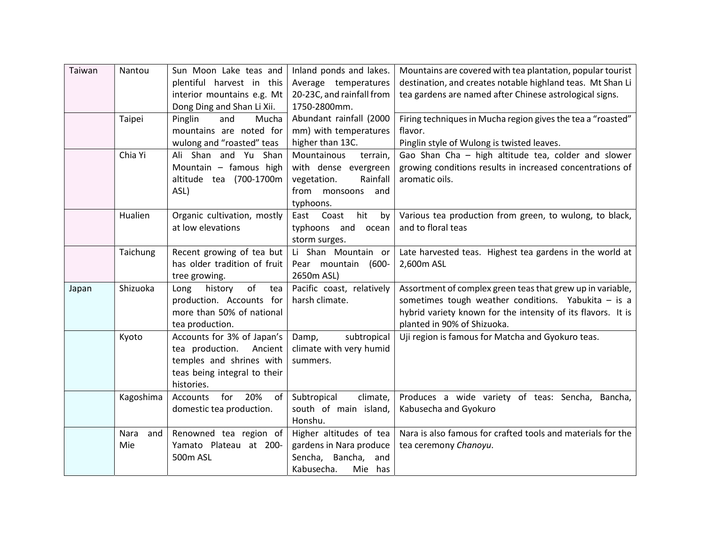| Taiwan | Nantou             | Sun Moon Lake teas and                           | Inland ponds and lakes.   | Mountains are covered with tea plantation, popular tourist   |
|--------|--------------------|--------------------------------------------------|---------------------------|--------------------------------------------------------------|
|        |                    | plentiful harvest in this                        | Average temperatures      | destination, and creates notable highland teas. Mt Shan Li   |
|        |                    | interior mountains e.g. Mt                       | 20-23C, and rainfall from | tea gardens are named after Chinese astrological signs.      |
|        |                    | Dong Ding and Shan Li Xii.                       | 1750-2800mm.              |                                                              |
|        | Taipei             | Pinglin<br>and<br>Mucha                          | Abundant rainfall (2000   | Firing techniques in Mucha region gives the tea a "roasted"  |
|        |                    | mountains are noted for                          | mm) with temperatures     | flavor.                                                      |
|        |                    | wulong and "roasted" teas                        | higher than 13C.          | Pinglin style of Wulong is twisted leaves.                   |
|        | Chia Yi            | Ali Shan and Yu Shan                             | Mountainous<br>terrain,   | Gao Shan Cha - high altitude tea, colder and slower          |
|        |                    | Mountain - famous high                           | with dense evergreen      | growing conditions results in increased concentrations of    |
|        |                    | altitude tea (700-1700m                          | Rainfall<br>vegetation.   | aromatic oils.                                               |
|        |                    | ASL)                                             | from monsoons and         |                                                              |
|        |                    |                                                  | typhoons.                 |                                                              |
|        | Hualien            | Organic cultivation, mostly                      | hit<br>East Coast<br>by   | Various tea production from green, to wulong, to black,      |
|        |                    | at low elevations                                | typhoons and ocean        | and to floral teas                                           |
|        |                    |                                                  | storm surges.             |                                                              |
|        | Taichung           | Recent growing of tea but                        | Li Shan Mountain or       | Late harvested teas. Highest tea gardens in the world at     |
|        |                    | has older tradition of fruit                     | Pear mountain<br>(600-    | 2,600m ASL                                                   |
|        |                    | tree growing.                                    | 2650m ASL)                |                                                              |
| Japan  | Shizuoka           | of<br>tea<br>history<br>Long                     | Pacific coast, relatively | Assortment of complex green teas that grew up in variable,   |
|        |                    | production. Accounts for                         | harsh climate.            | sometimes tough weather conditions. Yabukita $-$ is a        |
|        |                    | more than 50% of national                        |                           | hybrid variety known for the intensity of its flavors. It is |
|        |                    | tea production.                                  |                           | planted in 90% of Shizuoka.                                  |
|        | Kyoto              | Accounts for 3% of Japan's                       | subtropical<br>Damp,      | Uji region is famous for Matcha and Gyokuro teas.            |
|        |                    | tea production.<br>Ancient                       | climate with very humid   |                                                              |
|        |                    | temples and shrines with                         | summers.                  |                                                              |
|        |                    | teas being integral to their                     |                           |                                                              |
|        |                    | histories.                                       |                           |                                                              |
|        | Kagoshima          | for<br>20%<br>Accounts<br>of                     | Subtropical<br>climate,   | Produces a wide variety of teas: Sencha, Bancha,             |
|        |                    | domestic tea production.                         | south of main island,     | Kabusecha and Gyokuro                                        |
|        |                    |                                                  | Honshu.                   |                                                              |
|        | Nara<br>and<br>Mie | Renowned tea region of<br>Yamato Plateau at 200- | Higher altitudes of tea   | Nara is also famous for crafted tools and materials for the  |
|        |                    |                                                  | gardens in Nara produce   | tea ceremony Chanoyu.                                        |
|        |                    | 500m ASL                                         | Sencha, Bancha,<br>and    |                                                              |
|        |                    |                                                  | Kabusecha.<br>Mie has     |                                                              |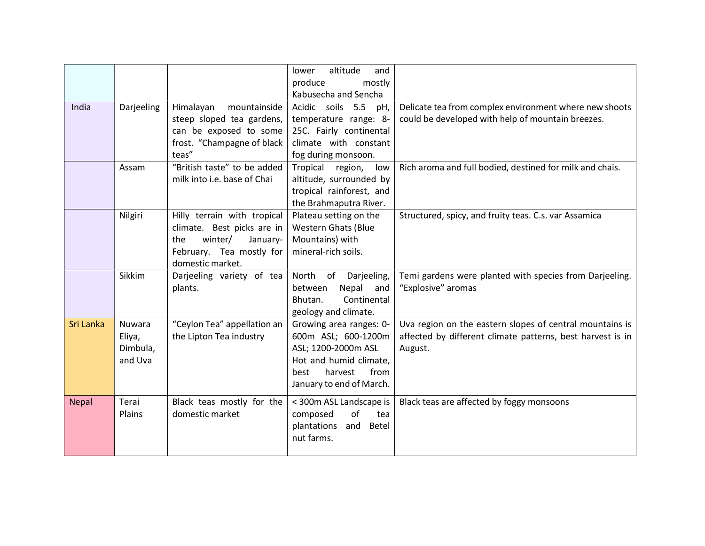|              |                                                |                                                                                                                                         | altitude<br>lower<br>and<br>produce<br>mostly<br>Kabusecha and Sencha                                                                                  |                                                                                                                                   |
|--------------|------------------------------------------------|-----------------------------------------------------------------------------------------------------------------------------------------|--------------------------------------------------------------------------------------------------------------------------------------------------------|-----------------------------------------------------------------------------------------------------------------------------------|
| India        | Darjeeling                                     | Himalayan<br>mountainside<br>steep sloped tea gardens,<br>can be exposed to some<br>frost. "Champagne of black<br>teas"                 | Acidic soils 5.5<br>pH,<br>temperature range: 8-<br>25C. Fairly continental<br>climate with constant<br>fog during monsoon.                            | Delicate tea from complex environment where new shoots<br>could be developed with help of mountain breezes.                       |
|              | Assam                                          | "British taste" to be added<br>milk into i.e. base of Chai                                                                              | Tropical region,<br>low<br>altitude, surrounded by<br>tropical rainforest, and<br>the Brahmaputra River.                                               | Rich aroma and full bodied, destined for milk and chais.                                                                          |
|              | Nilgiri                                        | Hilly terrain with tropical<br>climate. Best picks are in<br>winter/<br>January-<br>the<br>February. Tea mostly for<br>domestic market. | Plateau setting on the<br><b>Western Ghats (Blue</b><br>Mountains) with<br>mineral-rich soils.                                                         | Structured, spicy, and fruity teas. C.s. var Assamica                                                                             |
|              | Sikkim                                         | Darjeeling variety of tea<br>plants.                                                                                                    | North of Darjeeling,<br>Nepal<br>between<br>and<br>Continental<br>Bhutan.<br>geology and climate.                                                      | Temi gardens were planted with species from Darjeeling.<br>"Explosive" aromas                                                     |
| Sri Lanka    | <b>Nuwara</b><br>Eliya,<br>Dimbula,<br>and Uva | "Ceylon Tea" appellation an<br>the Lipton Tea industry                                                                                  | Growing area ranges: 0-<br>600m ASL; 600-1200m<br>ASL; 1200-2000m ASL<br>Hot and humid climate,<br>from<br>harvest<br>best<br>January to end of March. | Uva region on the eastern slopes of central mountains is<br>affected by different climate patterns, best harvest is in<br>August. |
| <b>Nepal</b> | Terai<br>Plains                                | Black teas mostly for the<br>domestic market                                                                                            | < 300m ASL Landscape is<br>of<br>composed<br>tea<br>plantations<br>and Betel<br>nut farms.                                                             | Black teas are affected by foggy monsoons                                                                                         |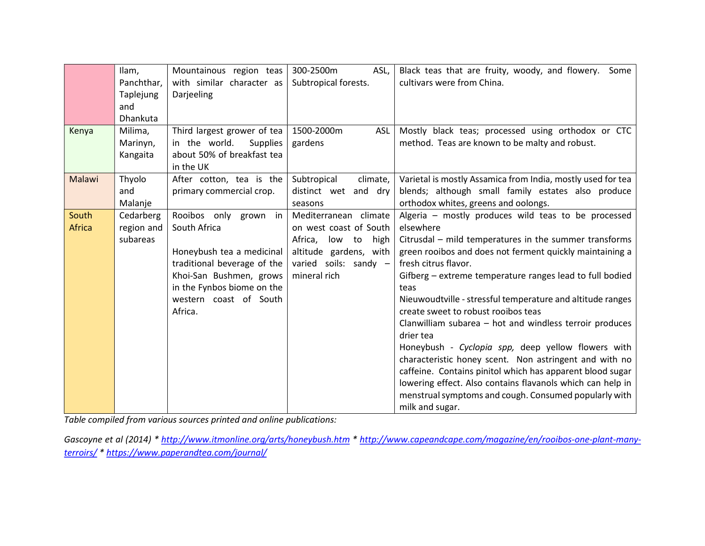|               | Ilam,           | Mountainous region teas          | 300-2500m<br>ASL,         | Black teas that are fruity, woody, and flowery. Some        |
|---------------|-----------------|----------------------------------|---------------------------|-------------------------------------------------------------|
|               | Panchthar,      | with similar character as        | Subtropical forests.      | cultivars were from China.                                  |
|               | Taplejung       | Darjeeling                       |                           |                                                             |
|               | and             |                                  |                           |                                                             |
|               | <b>Dhankuta</b> |                                  |                           |                                                             |
| Kenya         | Milima,         | Third largest grower of tea      | 1500-2000m<br><b>ASL</b>  | Mostly black teas; processed using orthodox or CTC          |
|               | Marinyn,        | in the world.<br><b>Supplies</b> | gardens                   | method. Teas are known to be malty and robust.              |
|               | Kangaita        | about 50% of breakfast tea       |                           |                                                             |
|               |                 | in the UK                        |                           |                                                             |
| Malawi        | Thyolo          | After cotton, tea is the         | Subtropical<br>climate,   | Varietal is mostly Assamica from India, mostly used for tea |
|               | and             | primary commercial crop.         | distinct wet and dry      | blends; although small family estates also produce          |
|               | Malanje         |                                  | seasons                   | orthodox whites, greens and oolongs.                        |
| South         | Cedarberg       | Rooibos only grown in            | Mediterranean climate     | Algeria - mostly produces wild teas to be processed         |
| <b>Africa</b> | region and      | South Africa                     | on west coast of South    | elsewhere                                                   |
|               | subareas        |                                  | Africa,<br>low to<br>high | Citrusdal - mild temperatures in the summer transforms      |
|               |                 | Honeybush tea a medicinal        | altitude gardens, with    | green rooibos and does not ferment quickly maintaining a    |
|               |                 | traditional beverage of the      | varied soils: sandy -     | fresh citrus flavor.                                        |
|               |                 | Khoi-San Bushmen, grows          | mineral rich              | Gifberg – extreme temperature ranges lead to full bodied    |
|               |                 | in the Fynbos biome on the       |                           | teas                                                        |
|               |                 | western coast of South           |                           | Nieuwoudtville - stressful temperature and altitude ranges  |
|               |                 | Africa.                          |                           | create sweet to robust rooibos teas                         |
|               |                 |                                  |                           | Clanwilliam subarea - hot and windless terroir produces     |
|               |                 |                                  |                           | drier tea                                                   |
|               |                 |                                  |                           | Honeybush - Cyclopia spp, deep yellow flowers with          |
|               |                 |                                  |                           | characteristic honey scent. Non astringent and with no      |
|               |                 |                                  |                           | caffeine. Contains pinitol which has apparent blood sugar   |
|               |                 |                                  |                           | lowering effect. Also contains flavanols which can help in  |
|               |                 |                                  |                           | menstrual symptoms and cough. Consumed popularly with       |
|               |                 |                                  |                           | milk and sugar.                                             |

Table compiled from various sources printed and online publications:

Gascoyne et al (2014) \* http://www.itmonline.org/arts/honeybush.htm \* http://www.capeandcape.com/magazine/en/rooibos-one-plant-manyterroirs/ \* https://www.paperandtea.com/journal/